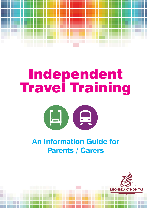

# **Independent Travel Training**



## **An Information Guide for Parents / Carers**

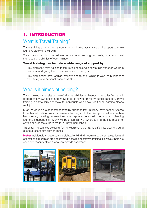## **1. INTRODUCTION**

## What is Travel Training?

Travel training aims to help those who need extra assistance and support to make journeys safely on their own.

Travel training tends to be delivered on a one to one or group basis, in order to meet the needs and abilities of each trainee.

#### **Travel training can include a wide range of support by:**

- Providing short term training to familiarise people with how public transport works in their area and giving them the confidence to use it; or
- Providing longer term, regular, intensive one-to-one training to also learn important road safety and personal awareness skills.

## Who is it aimed at helping?

Travel training can assist people of all ages, abilities and needs, who suffer from a lack of road safety awareness and knowledge of how to travel by public transport. Travel training is particularly beneficial to individuals who have Additional Learning Needs  $(ALN)$ .

Such individuals are often transported by arranged taxi until they leave school. Access to further education, work placements, training and other life opportunities can then become very daunting because they have no prior experience in preparing and planning journeys independently. Many will be unfamiliar with where to find the information or advice or even the skills to make journeys themselves.

Travel training can also be useful for individuals who are having difficulties getting around due to a recent disability or illness.

**Note:** Individuals who are partially sighted or blind will require specialist navigation and orientation skills which are not covered in the realm of travel training. However, there are specialist mobility officers who can provide assistance.

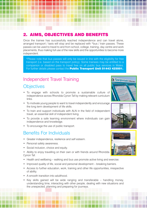## **2. AIMS, OBJECTIVES AND BENEFITS**

Once the trainee has successfully reached independence and can travel alone, arranged transport / taxis will stop and be replaced with \*bus / train passes. These passes can be used to travel to and from school, college, training, day centre and work placements, thus making full use of the new skills and the opportunities to become more independent.

\*Please note that bus passes will only be issued in line with the eligibility for free transport (i.e. based on the transport policy). Some trainees may be entitled to a companion or disabled pass to travel free on all public bus services in Wales. For further details please contact the **Public Transport Unit 01443 425001.**

## Independent Travel Training

## **Objectives**

- To engage with schools to promote a sustainable culture of independence across Rhondda Cynon Taf by making relevant curriculum links.
- To motivate young people to want to travel independently and encourage the long term development of life skills.
- To train and support individuals with ALN in the field of independent travel, an essential skill of independent living.
- To provide a safe learning environment where individuals can gain independence and knowledge.
- To encourage the use of public transport.

## Benefits For Individuals

- Greater independence, resilience and self esteem.
- Personal safety awareness.
- Social inclusion, choice and equity.
- Ability to enjoy travelling on their own or with friends around Rhondda Cynon Taf.
- Health and wellbeing walking and bus use promote active living and exercise.
- Improved quality of life, social and personal development breaking barriers.
- Access to further education, work, training and other life opportunities, irrespective of ability.
- A smooth transition into adulthood.
- Key skills gained will be wide ranging and transferable  $-$  handling money, understanding time, interacting with other people, dealing with new situations and the unexpected, planning and preparing for journeys.





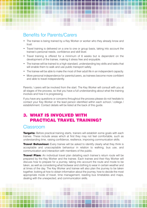## Benefits for Parents/Carers

- The trainee is being trained by a Key Worker or worker who they already know and trust.
- Travel training is delivered on a one to one or group basis, taking into account the trainee's personal needs, confidence and skill level.
- Travel training is offered for a minimum of 6 weeks but is dependent on the development of the trainee, making it stress free and enjoyable.
- The trainee will be trained to a high standard, understanding key skills and tasks that will enable them to walk and use public transport safely.
- The trainee will be able to make the most of their adult life in an independent capacity.
- More personal independence for parents/carers, as trainees become more confident and able to travel independently.

Parents / carers will be involved from the start. The Key Worker will consult with you at all stages of the process, so that you have a full understanding about what the training involves and how it is progressing.

If you have any questions or concerns throughout the process please do not hesitate to contact your Key Worker or the lead person identified within each school / college / establishment. Contact details will be listed at the back of this guide.

#### **3. WHAT IS INVOLVED WITH PRACTICAL TRAVEL TRAINING?**

#### Classroom

**Targets:** Before practical training starts, trainers will establish some goals with each trainee. These include areas which at first they may not feel comfortable, such as understanding time, raising confidence, resilience, improving communication skills.

**Travel Behaviour:** Every trainee will be asked to identify clearly what they think is acceptable and unacceptable behaviour in relation to walking, bus use, and communication and interaction with members of the public.

**Travel Plan:** An individual travel plan detailing each trainee's return route will be prepared by the Key Worker and the trainee. Each trainee and their Key Worker will discuss how to prepare for a journey, taking into account the route and mode to be taken, as well as considering what footwear and clothing to wear in certain weather and at times of the day. The Key Worker and trainee will also plan the journey to be taken together, looking at how to obtain information about the journey, how to decide the most appropriate mode of travel, time management, reading bus timetables and maps, dealing with the unexpected, and communication skills.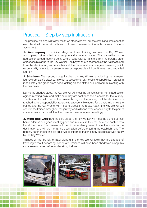## Practical – Step by step instruction

The practical training will follow the three stages below, but the detail and time spent at each level will be individually set to fit each trainee, in line with parental / carer's agreement.

**1. Accompany:** The initial stage of travel training involves the Key Worker accompanying the individual or group to and from a destination. This is from their home address or agreed meeting point, where responsibility transfers from the parent / carer or responsible adult to the Key Worker. The Key Worker accompanies the trainee to and from the destination, and once back at the home address or agreed meeting point, responsibility reverts to the parent / carer or responsible adult until the next accompanied journey.

**2. Shadow:** The second stage involves the Key Worker shadowing the trainee's journey from a safe distance, in order to assess their skill level and capabilities – crossing roads safely, the green cross code, getting on and off the bus, and communicating with the bus driver.

During the shadow stage, the Key Worker will meet the trainee at their home address or agreed meeting point and make sure they are confident and prepared for the journey. The Key Worker will shadow the trainee throughout the journey until the destination is reached, where responsibility transfers to a responsible adult. For the return journey, the trainee and the Key Worker will meet to discuss the route. Again, the Key Worker will shadow the trainee throughout the journey and will hand over responsibility to the parent / carer or responsible adult at the home address or agreed meeting point

**3. Meet and Greet:** At the third stage, the Key Worker will meet the trainee at their home address or agreed meeting point and make sure they feel safe and confident to travel the route. The trainee will then independently travel the entire route to the destination and will be met at the destination before entering the establishment. The parent / carer or responsible adult will be informed that the individual has arrived safely by the Key Worker.

Trainees will not be left to travel alone until the Key Worker feels they are capable of travelling without becoming lost or late. Trainees will have been shadowed along this route several times before undertaking it alone.

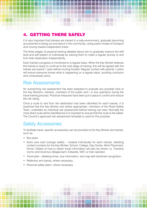## **4. GETTING THERE SAFELY**

It is very important that trainees are trained in a safe environment, gradually becoming accustomed to being out and about in the community, using public modes of transport and moving toward independent travel.

The three stages of practical training detailed above aim to gradually improve the skill level and self esteem of individuals by training them to make a regular journey to and from their destination independently.

Each trainee's progress is monitored on a regular basis. When the Key Worker believes the trainee is ready to continue to the next stage of training, this will be agreed with the trainee and parent / carer before moving forward. Regular contact with parents / carers will ensure everyone knows what is happening on a regular basis, avoiding confusion and unnecessary worry.

## Risk Assessments

An overarching risk assessment has been prepared to evaluate any possible risks to the Key Workers, trainees, members of the public and / or bus operators during the travel training process. Practical measures have been put in place to control and reduce the risk rating.

Once a route to and from the destination has been identified for each trainee, it is essential that the Key Worker and where appropriate, members of the Road Safety Team, undertake an individual risk assessment before training can start. Normally the most direct route will be identified but it is important to ensure that this route is the safest. The Council's approved risk assessment template is used for this purpose.

## Safety Accessories

To facilitate travel, specific accessories can be provided to the Key Worker and trainee, such as:

- Bus pass;
- Extra care card (orange wallet) created individually for each trainee, detailing contact numbers for the Key Worker, School, College, Day Centre, Work Placement, Home. Details of how to obtain travel information will also be shown i.e. Traveline Cymru and local bus (Stagecoach, Edwards, NAT) or train operator.
- Travel plan detailing times, bus information, and map with landmark recognition;
- Reflective arm bands, where necessary;
- Personal safety alarm, where necessary.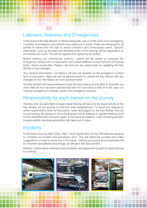## Lateness, Sickness and Emergencies

In the event of the Key Worker or trainee being late, sick or in the event of an emergency, a number of emergency procedures have been put in place. These are designed for all parties to follow and will help to avoid confusion and unnecessary panic. Specific information, such as the start and finishing times of the training, will be dependent on the trainee and route. This will be agreed and signed by all parties.

Before training can commence, parents / carers will be asked to complete the emergency contact form or equivalent. Up to three different contact persons should be listed, where practicable. Please note that you are responsible for updating the Key Worker of any changes.

Any medical information / conditions will also be detailed on the emergency contact form or equivalent. Again we ask for parents/carers to update the Key Worker with any changes to this information as soon as practicable.

The Key Worker will have undertaken basic first aid training and be able to deal with any minor falls etc but has been advised that with the more serious falls or in the case of a medical emergency to directly contact the emergency services.

## Responsibility for each trainee on the journey

Trainees who are permitted to begin travel training will become the responsibility of the Key Worker, for the journey to and from their establishment. To avoid any dispute on where responsibility ends for the parent / carer and begins for the Key Worker, the one to one training will always run from the trainee's home address or agreed meeting point to their establishment and back again. In the event of a parent / carer not being present, a responsibility handover procedure has been put in place.

#### **Incidents**

In the event of an accident (trips, slips, minor injuries etc) the Key Workers are required to complete an incident and prevention form. This will detail the incident and make suggestions on how to avoid this in the future. Training processes and procedures will be reviewed and altered accordingly, as will each risk assessment.

Parents / carers will be advised of any incidents and agreement sought for travel training to continue.

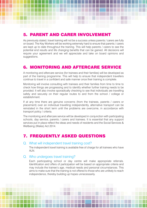#### **5. PARENT AND CARER INVOLVEMENT**

As previously stated, travel training will not be a success unless parents / carers are fully on board. The Key Workers will be working extremely hard to ensure that parents / carers are kept up to date throughout the training. This will help parents / carers to see the potential end results and life changing benefits that can be gained. All decisions will require your agreement and we will appreciate and take on board opinions and suggestions.

#### **6. MONITORING AND AFTERCARE SERVICE**

A monitoring and aftercare service (for trainees and their families) will be developed as part of the training programme. This will help to ensure that independent travellers continue to travel in a confident and safe manner once their training is complete.

Monitoring will involve consulting with trainees and their families from time to time to check how things are progressing and to identify whether further training needs to be provided. It will also involve sporadically checking to see that individuals are travelling safely and securely on their regular routes to and from the school / college or establishment.

If at any time there are genuine concerns (from the trainees, parents / carers or placement) over an individual travelling independently, alternative transport can be reinstated in the short term until the problems are overcome, in accordance with transport policy / criteria.

The monitoring and aftercare service will be developed in conjunction with participating schools, day service, parents / carers and trainees. It is essential that any support services put in place reflect the ideas and needs of residents and the Social Services & Wellbeing (Wales) Act 2014.

#### **7. FREQUENTLY ASKED QUESTIONS**

#### Q. What will independent travel training cost?

 The independent travel training is available free of charge for all trainees who have ALN.

#### Q. Who undergoes travel training?

 Each participating school or day centre will make appropriate referrals. Identification and offers of participation will be based on appropriate criteria and may include the trainee's age, medical needs and personal circumstances. This aims to make sure that the training is not offered to those who are unlikely to reach independence, thereby building up hopes unnecessarily.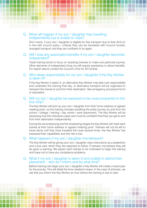#### Q. What will happen if my son / daughter tries travelling independently but is unable to cope?

Don't worry; if your son / daughter is eligible for free transport due to their ALN (or in line with council policy / criteria) they can be reinstated with Council funded, arranged transport until they are confident to try again.

#### Q. Will I lose any associated benefits if my son / daughter becomes independent?

 Travel training tends to focus on assisting trainees to make one particular journey. Other elements of independent living my still require assistance or attract benefits. For expert advice contact the Council's One for All Centres.

#### Q. Who takes responsibility for my son / daughter if the Key Worker is taken ill?

 If the Key Worker is taken ill, an alternative Key Worker may take over responsibility and undertake the training that day, or alternative transport will be organised to transport the trainee to and from their destination. See emergency procedure forms or equivalent.

#### Q. Will my son / daughter be expected to be unaccompanied to the bus stop?

 The Key Worker will pick up your son / daughter from their home address or agreed meeting point, as the training includes travelling the entire journey (to and from the school / college / training / day centre / work placement). The Key Worker will be assessing how the individual copes and must be confident that they can get to and from their destination independently.

 During the accompanying and the shadowing stages the Key Worker will meet each trainee at their home address or agreed meeting point. Trainees will not be left to travel alone until they have travelled the route several times, the Key Worker has assessed their capabilities and this risk is low.

#### Q. What happens if my son / daughter mis-behaves?

 The Key Worker will be giving your son / daughter clear instructions as a pedestrian and a bus user, which they are expected to follow. If trainees mis-behave they will be given a warning. We expect each trainee to be motivated to begin the training and hope not to have any compliance problems.

#### Q. What if my son / daughter is taken ill and unable to attend their placement – who do  $\overline{I}$  inform and by what time?

 Before training can begin your son / daughter's Key Worker will create a travel plan for the journey. This will detail the time needed to leave. In the case of sickness, we ask that you inform the Key Worker an hour before the training is due to start.